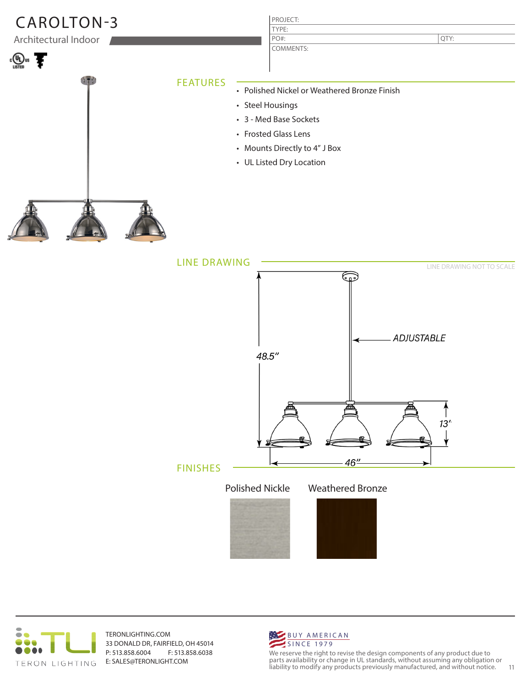



TERONLIGHTING.COM 33 DONALD DR, FAIRFIELD, OH 45014 P: 513.858.6004 F: 513.858.6038 E: SALES@TERONLIGHT.COM



We reserve the right to revise the design components of any product due to parts availability or change in UL standards, without assuming any obligation or liability to modify any products previously manufactured, and without notice. 11